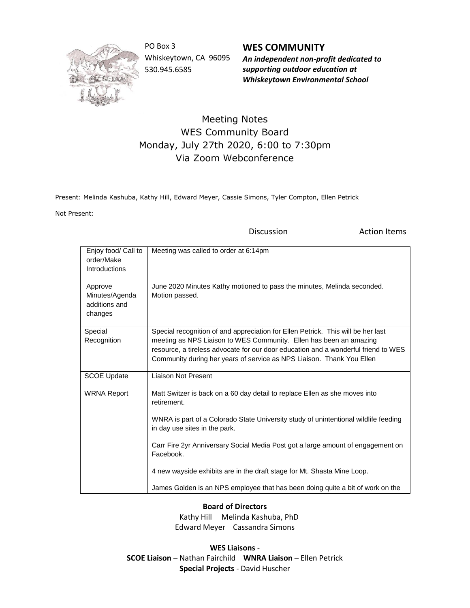

PO Box 3 Whiskeytown, CA 96095 530.945.6585

**WES COMMUNITY** *An independent non-profit dedicated to supporting outdoor education at Whiskeytown Environmental School*

## Meeting Notes WES Community Board Monday, July 27th 2020, 6:00 to 7:30pm Via Zoom Webconference

Present: Melinda Kashuba, Kathy Hill, Edward Meyer, Cassie Simons, Tyler Compton, Ellen Petrick

Not Present:

Discussion **Action Items** 

| Enjoy food/ Call to<br>order/Make<br>Introductions    | Meeting was called to order at 6:14pm                                                                                                                                                                                                                                                                                                                                                                                                                                          |
|-------------------------------------------------------|--------------------------------------------------------------------------------------------------------------------------------------------------------------------------------------------------------------------------------------------------------------------------------------------------------------------------------------------------------------------------------------------------------------------------------------------------------------------------------|
| Approve<br>Minutes/Agenda<br>additions and<br>changes | June 2020 Minutes Kathy motioned to pass the minutes, Melinda seconded.<br>Motion passed.                                                                                                                                                                                                                                                                                                                                                                                      |
| Special<br>Recognition                                | Special recognition of and appreciation for Ellen Petrick. This will be her last<br>meeting as NPS Liaison to WES Community. Ellen has been an amazing<br>resource, a tireless advocate for our door education and a wonderful friend to WES<br>Community during her years of service as NPS Liaison. Thank You Ellen                                                                                                                                                          |
| <b>SCOE Update</b>                                    | Liaison Not Present                                                                                                                                                                                                                                                                                                                                                                                                                                                            |
| <b>WRNA Report</b>                                    | Matt Switzer is back on a 60 day detail to replace Ellen as she moves into<br>retirement.<br>WNRA is part of a Colorado State University study of unintentional wildlife feeding<br>in day use sites in the park.<br>Carr Fire 2yr Anniversary Social Media Post got a large amount of engagement on<br>Facebook.<br>4 new wayside exhibits are in the draft stage for Mt. Shasta Mine Loop.<br>James Golden is an NPS employee that has been doing quite a bit of work on the |

**Board of Directors**

 Kathy Hill Melinda Kashuba, PhD Edward Meyer Cassandra Simons

**WES Liaisons** - **SCOE Liaison** – Nathan Fairchild **WNRA Liaison** – Ellen Petrick **Special Projects** - David Huscher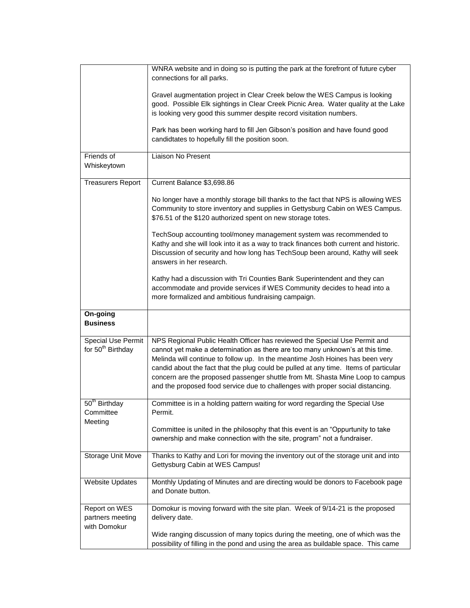|                                                            | WNRA website and in doing so is putting the park at the forefront of future cyber<br>connections for all parks.                                                                                                                                                                                                                                                                                                                                                                                          |
|------------------------------------------------------------|----------------------------------------------------------------------------------------------------------------------------------------------------------------------------------------------------------------------------------------------------------------------------------------------------------------------------------------------------------------------------------------------------------------------------------------------------------------------------------------------------------|
|                                                            | Gravel augmentation project in Clear Creek below the WES Campus is looking<br>good. Possible Elk sightings in Clear Creek Picnic Area. Water quality at the Lake<br>is looking very good this summer despite record visitation numbers.                                                                                                                                                                                                                                                                  |
|                                                            | Park has been working hard to fill Jen Gibson's position and have found good<br>candidtates to hopefully fill the position soon.                                                                                                                                                                                                                                                                                                                                                                         |
| Friends of<br>Whiskeytown                                  | Liaison No Present                                                                                                                                                                                                                                                                                                                                                                                                                                                                                       |
| <b>Treasurers Report</b>                                   | Current Balance \$3,698.86                                                                                                                                                                                                                                                                                                                                                                                                                                                                               |
|                                                            | No longer have a monthly storage bill thanks to the fact that NPS is allowing WES<br>Community to store inventory and supplies in Gettysburg Cabin on WES Campus.<br>\$76.51 of the \$120 authorized spent on new storage totes.                                                                                                                                                                                                                                                                         |
|                                                            | TechSoup accounting tool/money management system was recommended to<br>Kathy and she will look into it as a way to track finances both current and historic.<br>Discussion of security and how long has TechSoup been around, Kathy will seek<br>answers in her research.                                                                                                                                                                                                                                |
|                                                            | Kathy had a discussion with Tri Counties Bank Superintendent and they can<br>accommodate and provide services if WES Community decides to head into a<br>more formalized and ambitious fundraising campaign.                                                                                                                                                                                                                                                                                             |
| On-going<br><b>Business</b>                                |                                                                                                                                                                                                                                                                                                                                                                                                                                                                                                          |
| <b>Special Use Permit</b><br>for 50 <sup>th</sup> Birthday | NPS Regional Public Health Officer has reviewed the Special Use Permit and<br>cannot yet make a determination as there are too many unknown's at this time.<br>Melinda will continue to follow up. In the meantime Josh Hoines has been very<br>candid about the fact that the plug could be pulled at any time. Items of particular<br>concern are the proposed passenger shuttle from Mt. Shasta Mine Loop to campus<br>and the proposed food service due to challenges with proper social distancing. |
| $50th$ Birthday<br>Committee                               | Committee is in a holding pattern waiting for word regarding the Special Use<br>Permit.                                                                                                                                                                                                                                                                                                                                                                                                                  |
| Meeting                                                    | Committee is united in the philosophy that this event is an "Oppurtunity to take<br>ownership and make connection with the site, program" not a fundraiser.                                                                                                                                                                                                                                                                                                                                              |
| Storage Unit Move                                          | Thanks to Kathy and Lori for moving the inventory out of the storage unit and into<br>Gettysburg Cabin at WES Campus!                                                                                                                                                                                                                                                                                                                                                                                    |
| <b>Website Updates</b>                                     | Monthly Updating of Minutes and are directing would be donors to Facebook page<br>and Donate button.                                                                                                                                                                                                                                                                                                                                                                                                     |
| Report on WES<br>partners meeting<br>with Domokur          | Domokur is moving forward with the site plan. Week of 9/14-21 is the proposed<br>delivery date.                                                                                                                                                                                                                                                                                                                                                                                                          |
|                                                            | Wide ranging discussion of many topics during the meeting, one of which was the<br>possibility of filling in the pond and using the area as buildable space. This came                                                                                                                                                                                                                                                                                                                                   |